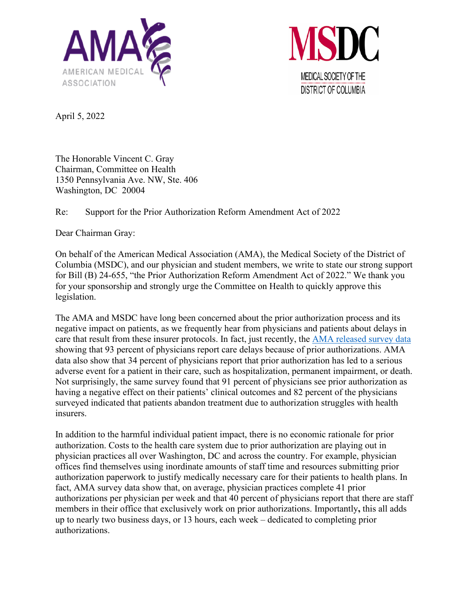



April 5, 2022

The Honorable Vincent C. Gray Chairman, Committee on Health 1350 Pennsylvania Ave. NW, Ste. 406 Washington, DC 20004

## Re: Support for the Prior Authorization Reform Amendment Act of 2022

Dear Chairman Gray:

On behalf of the American Medical Association (AMA), the Medical Society of the District of Columbia (MSDC), and our physician and student members, we write to state our strong support for Bill (B) 24-655, "the Prior Authorization Reform Amendment Act of 2022." We thank you for your sponsorship and strongly urge the Committee on Health to quickly approve this legislation.

The AMA and MSDC have long been concerned about the prior authorization process and its negative impact on patients, as we frequently hear from physicians and patients about delays in care that result from these insurer protocols. In fact, just recently, the [AMA released survey data](https://www.ama-assn.org/system/files/prior-authorization-survey.pdf) showing that 93 percent of physicians report care delays because of prior authorizations. AMA data also show that 34 percent of physicians report that prior authorization has led to a serious adverse event for a patient in their care, such as hospitalization, permanent impairment, or death. Not surprisingly, the same survey found that 91 percent of physicians see prior authorization as having a negative effect on their patients' clinical outcomes and 82 percent of the physicians surveyed indicated that patients abandon treatment due to authorization struggles with health insurers.

In addition to the harmful individual patient impact, there is no economic rationale for prior authorization. Costs to the health care system due to prior authorization are playing out in physician practices all over Washington, DC and across the country. For example, physician offices find themselves using inordinate amounts of staff time and resources submitting prior authorization paperwork to justify medically necessary care for their patients to health plans. In fact, AMA survey data show that, on average, physician practices complete 41 prior authorizations per physician per week and that 40 percent of physicians report that there are staff members in their office that exclusively work on prior authorizations. Importantly**,** this all adds up to nearly two business days, or 13 hours, each week – dedicated to completing prior authorizations.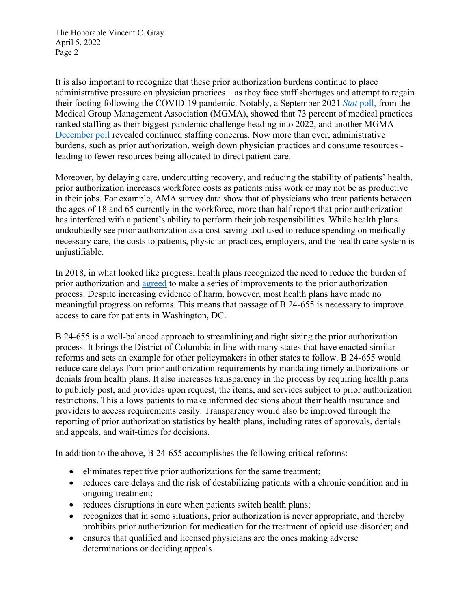The Honorable Vincent C. Gray April 5, 2022 Page 2

It is also important to recognize that these prior authorization burdens continue to place administrative pressure on physician practices – as they face staff shortages and attempt to regain their footing following the COVID-19 pandemic. Notably, a September 2021 *Stat* poll, from the Medical Group Management Association (MGMA), showed that 73 percent of medical practices ranked staffing as their biggest pandemic challenge heading into 2022, and another MGMA December poll revealed continued staffing concerns. Now more than ever, administrative burdens, such as prior authorization, weigh down physician practices and consume resources leading to fewer resources being allocated to direct patient care.

Moreover, by delaying care, undercutting recovery, and reducing the stability of patients' health, prior authorization increases workforce costs as patients miss work or may not be as productive in their jobs. For example, AMA survey data show that of physicians who treat patients between the ages of 18 and 65 currently in the workforce, more than half report that prior authorization has interfered with a patient's ability to perform their job responsibilities. While health plans undoubtedly see prior authorization as a cost-saving tool used to reduce spending on medically necessary care, the costs to patients, physician practices, employers, and the health care system is unjustifiable.

In 2018, in what looked like progress, health plans recognized the need to reduce the burden of prior authorization and [agreed](https://www.ama-assn.org/sites/ama-assn.org/files/corp/media-browser/public/arc-public/prior-authorization-consensus-statement.pdf) to make a series of improvements to the prior authorization process. Despite increasing evidence of harm, however, most health plans have made no meaningful progress on reforms. This means that passage of B 24-655 is necessary to improve access to care for patients in Washington, DC.

B 24-655 is a well-balanced approach to streamlining and right sizing the prior authorization process. It brings the District of Columbia in line with many states that have enacted similar reforms and sets an example for other policymakers in other states to follow. B 24-655 would reduce care delays from prior authorization requirements by mandating timely authorizations or denials from health plans. It also increases transparency in the process by requiring health plans to publicly post, and provides upon request, the items, and services subject to prior authorization restrictions. This allows patients to make informed decisions about their health insurance and providers to access requirements easily. Transparency would also be improved through the reporting of prior authorization statistics by health plans, including rates of approvals, denials and appeals, and wait-times for decisions.

In addition to the above, B 24-655 accomplishes the following critical reforms:

- eliminates repetitive prior authorizations for the same treatment;
- reduces care delays and the risk of destabilizing patients with a chronic condition and in ongoing treatment;
- reduces disruptions in care when patients switch health plans;
- recognizes that in some situations, prior authorization is never appropriate, and thereby prohibits prior authorization for medication for the treatment of opioid use disorder; and
- ensures that qualified and licensed physicians are the ones making adverse determinations or deciding appeals.